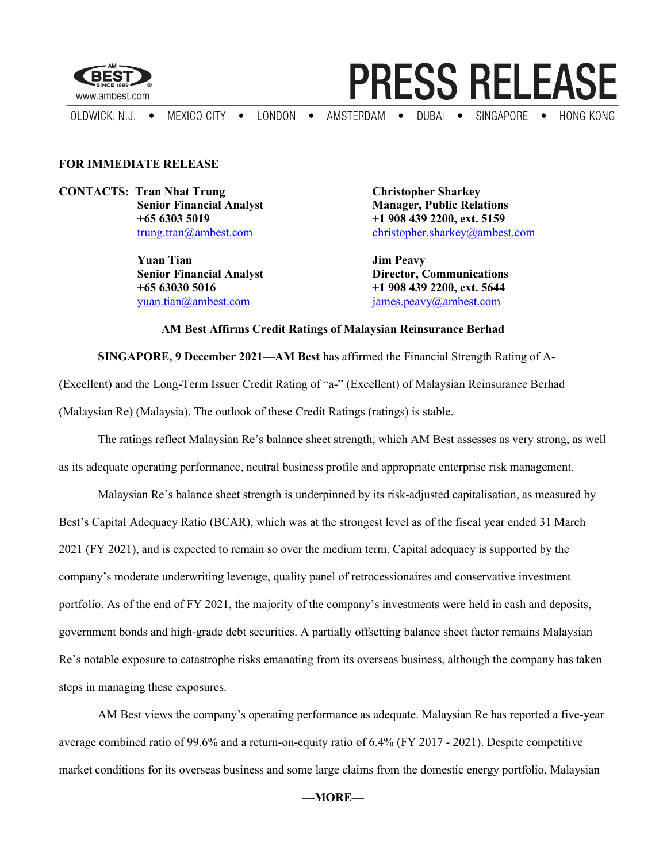

## **PRESS RELEASE**

AMSTERDAM . DUBAI . SINGAPORE . HONG KONG OLDWICK, N.J. . MEXICO CITY . LONDON .

## FOR IMMEDIATE RELEASE

CONTACTS: Tran Nhat Trung Christopher Sharkey

Yuan Tian Jim Peavy

Senior Financial Analyst Manager, Public Relations +65 6303 5019 +1 908 439 2200, ext. 5159 trung.tran@ambest.com christopher.sharkey@ambest.com

Senior Financial Analyst **Director, Communications**  $+65630305016$   $+19084392200, ext. 5644$ yuan.tian@ambest.com james.peavy@ambest.com

## AM Best Affirms Credit Ratings of Malaysian Reinsurance Berhad

SINGAPORE, 9 December 2021—AM Best has affirmed the Financial Strength Rating of A-

(Excellent) and the Long-Term Issuer Credit Rating of "a-" (Excellent) of Malaysian Reinsurance Berhad (Malaysian Re) (Malaysia). The outlook of these Credit Ratings (ratings) is stable.

The ratings reflect Malaysian Re's balance sheet strength, which AM Best assesses as very strong, as well as its adequate operating performance, neutral business profile and appropriate enterprise risk management.

Malaysian Re's balance sheet strength is underpinned by its risk-adjusted capitalisation, as measured by Best's Capital Adequacy Ratio (BCAR), which was at the strongest level as of the fiscal year ended 31 March 2021 (FY 2021), and is expected to remain so over the medium term. Capital adequacy is supported by the company's moderate underwriting leverage, quality panel of retrocessionaires and conservative investment portfolio. As of the end of FY 2021, the majority of the company's investments were held in cash and deposits, government bonds and high-grade debt securities. A partially offsetting balance sheet factor remains Malaysian Re's notable exposure to catastrophe risks emanating from its overseas business, although the company has taken steps in managing these exposures.

AM Best views the company's operating performance as adequate. Malaysian Re has reported a five-year average combined ratio of 99.6% and a return-on-equity ratio of 6.4% (FY 2017 - 2021). Despite competitive market conditions for its overseas business and some large claims from the domestic energy portfolio, Malaysian

—MORE—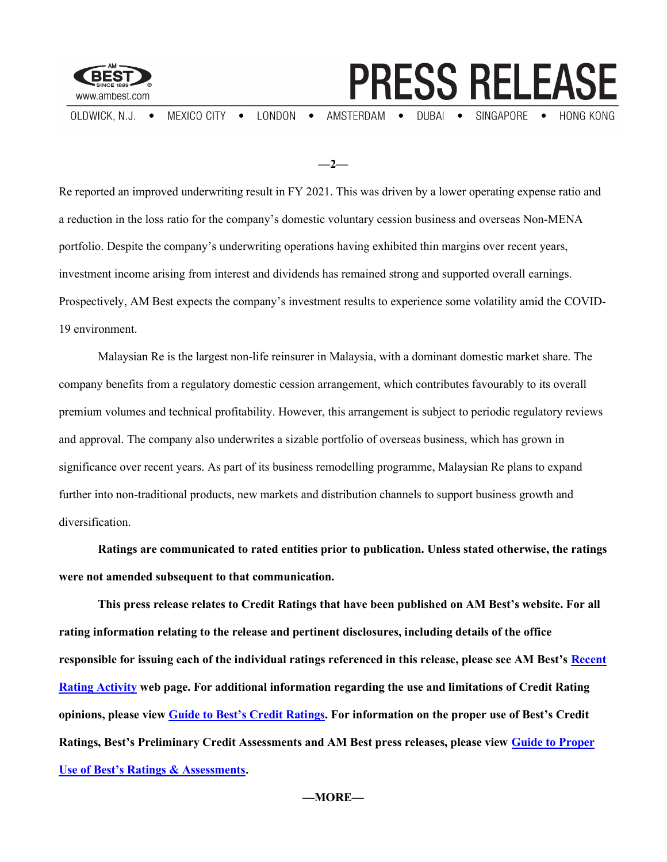

OLDWICK, N.J. . MEXICO CITY . LONDON .

AMSTERDAM . DUBAI . SINGAPORE . HONG KONG

**PRESS RELEASE** 

 $-2-$ 

Re reported an improved underwriting result in FY 2021. This was driven by a lower operating expense ratio and a reduction in the loss ratio for the company's domestic voluntary cession business and overseas Non-MENA portfolio. Despite the company's underwriting operations having exhibited thin margins over recent years, investment income arising from interest and dividends has remained strong and supported overall earnings. Prospectively, AM Best expects the company's investment results to experience some volatility amid the COVID-19 environment.

Malaysian Re is the largest non-life reinsurer in Malaysia, with a dominant domestic market share. The company benefits from a regulatory domestic cession arrangement, which contributes favourably to its overall premium volumes and technical profitability. However, this arrangement is subject to periodic regulatory reviews and approval. The company also underwrites a sizable portfolio of overseas business, which has grown in significance over recent years. As part of its business remodelling programme, Malaysian Re plans to expand further into non-traditional products, new markets and distribution channels to support business growth and diversification.

Ratings are communicated to rated entities prior to publication. Unless stated otherwise, the ratings were not amended subsequent to that communication.

This press release relates to Credit Ratings that have been published on AM Best's website. For all rating information relating to the release and pertinent disclosures, including details of the office responsible for issuing each of the individual ratings referenced in this release, please see AM Best's Recent Rating Activity web page. For additional information regarding the use and limitations of Credit Rating opinions, please view Guide to Best's Credit Ratings. For information on the proper use of Best's Credit Ratings, Best's Preliminary Credit Assessments and AM Best press releases, please view Guide to Proper Use of Best's Ratings & Assessments.